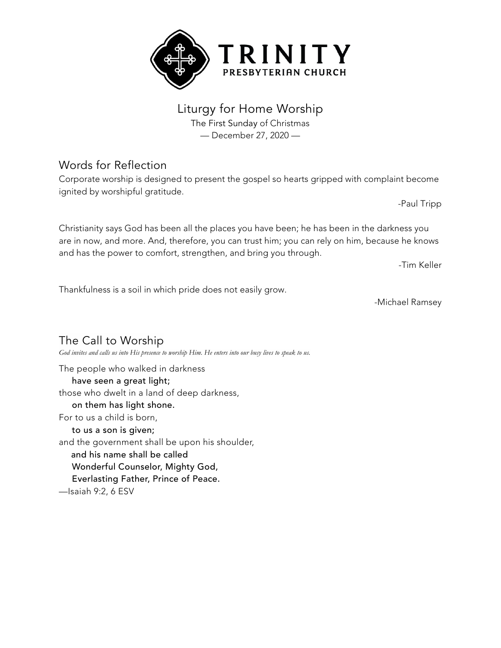

## Liturgy for Home Worship

The First Sunday of Christmas — December 27, 2020 —

## Words for Reflection

Corporate worship is designed to present the gospel so hearts gripped with complaint become ignited by worshipful gratitude.

-Paul Tripp

Christianity says God has been all the places you have been; he has been in the darkness you are in now, and more. And, therefore, you can trust him; you can rely on him, because he knows and has the power to comfort, strengthen, and bring you through.

-Tim Keller

Thankfulness is a soil in which pride does not easily grow.

-Michael Ramsey

The Call to Worship God invites and calls us into His presence to worship Him. He enters into our busy lives to speak to us. The people who walked in darkness have seen a great light; those who dwelt in a land of deep darkness, on them has light shone. For to us a child is born, to us a son is given; and the government shall be upon his shoulder, and his name shall be called Wonderful Counselor, Mighty God, Everlasting Father, Prince of Peace. —Isaiah 9:2, 6 ESV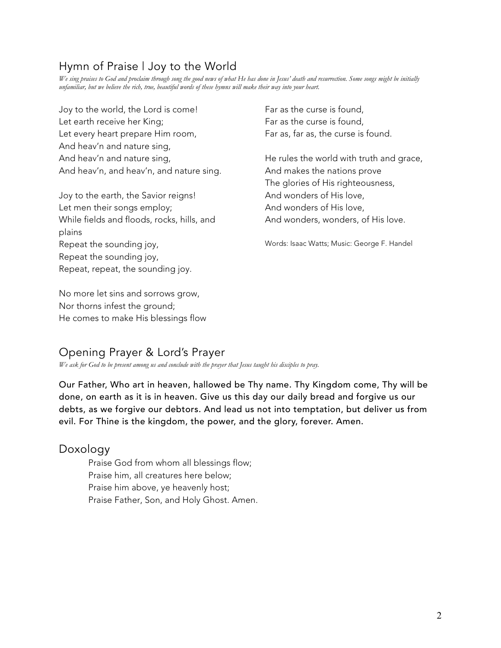## Hymn of Praise | Joy to the World

We sing praises to God and proclaim through song the good news of what He has done in Jesus' death and resurrection. Some songs might be initially unfamiliar, but we believe the rich, true, beautiful words of these hymns will make their way into your heart.

Joy to the world, the Lord is come! Let earth receive her King; Let every heart prepare Him room, And heav'n and nature sing, And heav'n and nature sing, And heav'n, and heav'n, and nature sing.

Joy to the earth, the Savior reigns! Let men their songs employ; While fields and floods, rocks, hills, and plains Repeat the sounding joy, Repeat the sounding joy, Repeat, repeat, the sounding joy.

No more let sins and sorrows grow, Nor thorns infest the ground; He comes to make His blessings flow Far as the curse is found, Far as the curse is found, Far as, far as, the curse is found.

He rules the world with truth and grace, And makes the nations prove The glories of His righteousness, And wonders of His love, And wonders of His love, And wonders, wonders, of His love.

Words: Isaac Watts; Music: George F. Handel

## Opening Prayer & Lord's Prayer

*We ask for God to be present among us and conclude with the prayer that Jesus taught his disciples to pray.*

Our Father, Who art in heaven, hallowed be Thy name. Thy Kingdom come, Thy will be done, on earth as it is in heaven. Give us this day our daily bread and forgive us our debts, as we forgive our debtors. And lead us not into temptation, but deliver us from evil. For Thine is the kingdom, the power, and the glory, forever. Amen.

#### Doxology

Praise God from whom all blessings flow; Praise him, all creatures here below; Praise him above, ye heavenly host; Praise Father, Son, and Holy Ghost. Amen.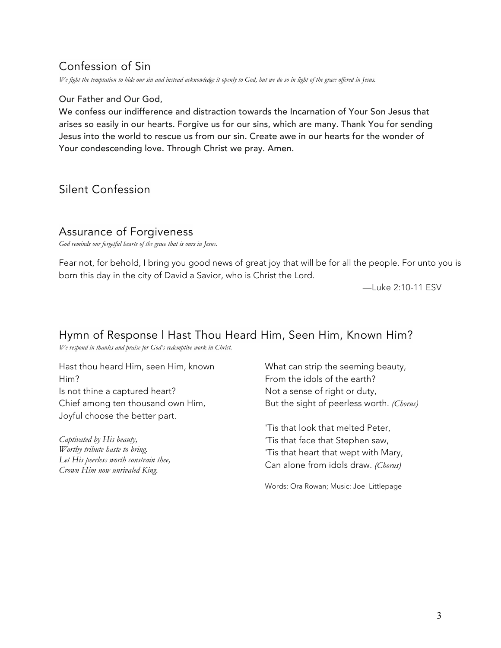## Confession of Sin

We fight the temptation to hide our sin and instead acknowledge it openly to God, but we do so in light of the grace offered in Jesus.

#### Our Father and Our God,

We confess our indifference and distraction towards the Incarnation of Your Son Jesus that arises so easily in our hearts. Forgive us for our sins, which are many. Thank You for sending Jesus into the world to rescue us from our sin. Create awe in our hearts for the wonder of Your condescending love. Through Christ we pray. Amen.

## Silent Confession

#### Assurance of Forgiveness

*God reminds our forgetful hearts of the grace that is ours in Jesus.*

Fear not, for behold, I bring you good news of great joy that will be for all the people. For unto you is born this day in the city of David a Savior, who is Christ the Lord.

—Luke 2:10-11 ESV

## Hymn of Response | Hast Thou Heard Him, Seen Him, Known Him?

*We respond in thanks and praise for God's redemptive work in Christ.*

Hast thou heard Him, seen Him, known Him? Is not thine a captured heart? Chief among ten thousand own Him, Joyful choose the better part.

*Captivated by His beauty, Worthy tribute haste to bring. Let His peerless worth constrain thee, Crown Him now unrivaled King.*

What can strip the seeming beauty, From the idols of the earth? Not a sense of right or duty, But the sight of peerless worth. *(Chorus)*

'Tis that look that melted Peter, 'Tis that face that Stephen saw, 'Tis that heart that wept with Mary, Can alone from idols draw. *(Chorus)*

Words: Ora Rowan; Music: Joel Littlepage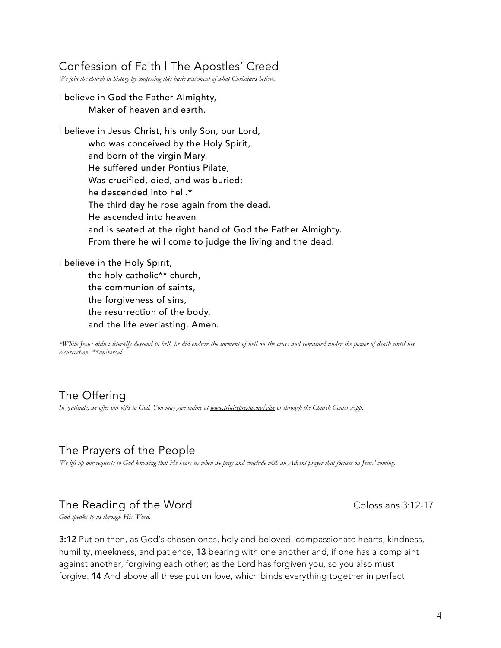### Confession of Faith | The Apostles' Creed

*We join the church in history by confessing this basic statement of what Christians believe.*

I believe in God the Father Almighty, Maker of heaven and earth.

I believe in Jesus Christ, his only Son, our Lord, who was conceived by the Holy Spirit, and born of the virgin Mary. He suffered under Pontius Pilate, Was crucified, died, and was buried; he descended into hell.\* The third day he rose again from the dead. He ascended into heaven and is seated at the right hand of God the Father Almighty. From there he will come to judge the living and the dead.

I believe in the Holy Spirit,

the holy catholic\*\* church, the communion of saints, the forgiveness of sins, the resurrection of the body, and the life everlasting. Amen.

\*While Jesus didn't literally descend to hell, he did endure the torment of hell on the cross and remained under the power of death until his *resurrection. \*\*universal*

## The Offering

In gratitude, we offer our gifts to God. You may give online at www.trinitypresfu.org/give or through the Church Center App.

## The Prayers of the People

We lift up our requests to God knowing that He hears us when we pray and conclude with an Advent prayer that focuses on Jesus' coming.

#### The Reading of the Word Colossians 3:12-17

*God speaks to us through His Word.*

3:12 Put on then, as God's chosen ones, holy and beloved, compassionate hearts, kindness, humility, meekness, and patience, 13 bearing with one another and, if one has a complaint against another, forgiving each other; as the Lord has forgiven you, so you also must forgive. 14 And above all these put on love, which binds everything together in perfect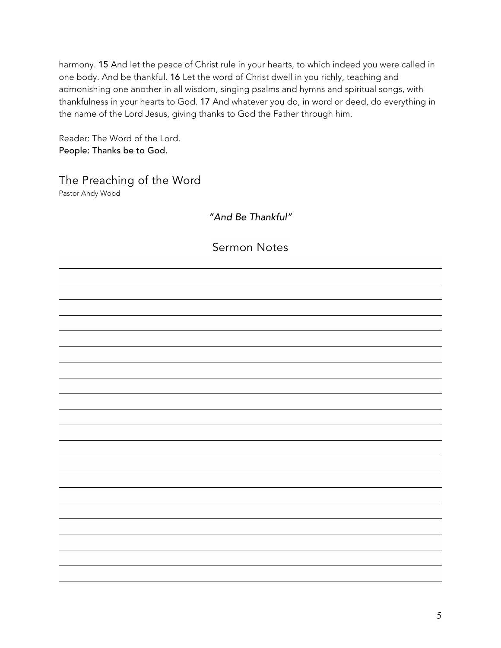harmony. 15 And let the peace of Christ rule in your hearts, to which indeed you were called in one body. And be thankful. 16 Let the word of Christ dwell in you richly, teaching and admonishing one another in all wisdom, singing psalms and hymns and spiritual songs, with thankfulness in your hearts to God. 17 And whatever you do, in word or deed, do everything in the name of the Lord Jesus, giving thanks to God the Father through him.

Reader: The Word of the Lord. People: Thanks be to God.

The Preaching of the Word Pastor Andy Wood

*"And Be Thankful"*

Sermon Notes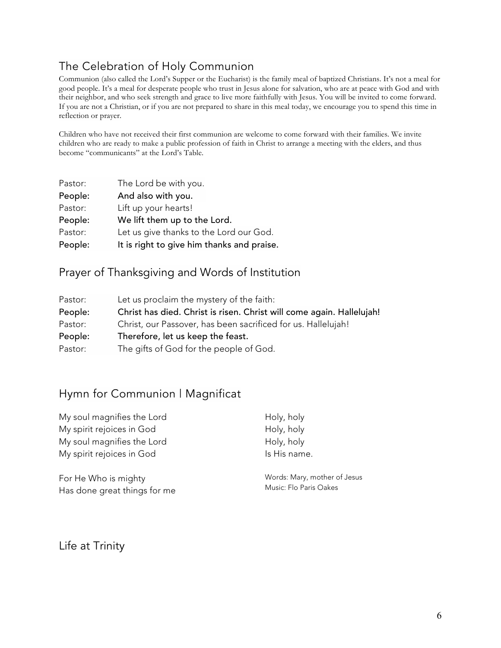# The Celebration of Holy Communion

Communion (also called the Lord's Supper or the Eucharist) is the family meal of baptized Christians. It's not a meal for good people. It's a meal for desperate people who trust in Jesus alone for salvation, who are at peace with God and with their neighbor, and who seek strength and grace to live more faithfully with Jesus. You will be invited to come forward. If you are not a Christian, or if you are not prepared to share in this meal today, we encourage you to spend this time in reflection or prayer.

Children who have not received their first communion are welcome to come forward with their families. We invite children who are ready to make a public profession of faith in Christ to arrange a meeting with the elders, and thus become "communicants" at the Lord's Table.

| Pastor: | The Lord be with you.                      |
|---------|--------------------------------------------|
| People: | And also with you.                         |
| Pastor: | Lift up your hearts!                       |
| People: | We lift them up to the Lord.               |
| Pastor: | Let us give thanks to the Lord our God.    |
| People: | It is right to give him thanks and praise. |

## Prayer of Thanksgiving and Words of Institution

| Pastor: | Let us proclaim the mystery of the faith:                             |  |
|---------|-----------------------------------------------------------------------|--|
| People: | Christ has died. Christ is risen. Christ will come again. Hallelujah! |  |
| Pastor: | Christ, our Passover, has been sacrificed for us. Hallelujah!         |  |
| People: | Therefore, let us keep the feast.                                     |  |
| Pastor: | The gifts of God for the people of God.                               |  |

## Hymn for Communion | Magnificat

| My soul magnifies the Lord   | Holy, holy                   |
|------------------------------|------------------------------|
| My spirit rejoices in God    | Holy, holy                   |
| My soul magnifies the Lord   | Holy, holy                   |
| My spirit rejoices in God    | Is His name.                 |
| For He Who is mighty         | Words: Mary, mother of Jesus |
| Has done great things for mo | Music: Flo Paris Oakes       |

Life at Trinity

Has done great things for me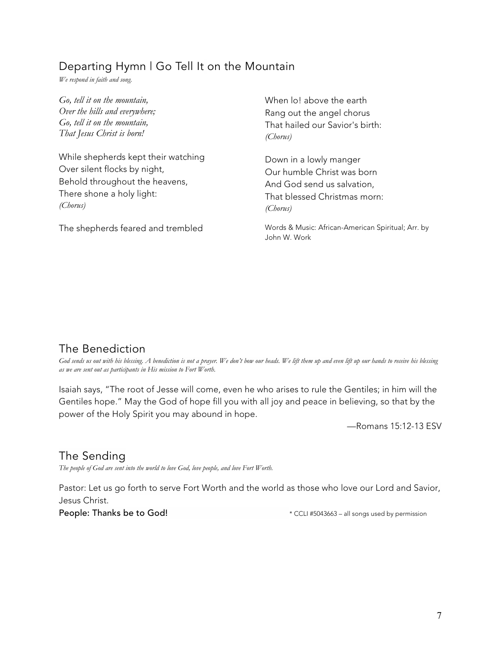## Departing Hymn | Go Tell It on the Mountain

*We respond in faith and song.*

*Go, tell it on the mountain, Over the hills and everywhere; Go, tell it on the mountain, That Jesus Christ is born!*

While shepherds kept their watching Over silent flocks by night, Behold throughout the heavens, There shone a holy light: *(Chorus)*

The shepherds feared and trembled

When lo! above the earth Rang out the angel chorus That hailed our Savior's birth: *(Chorus)*

Down in a lowly manger Our humble Christ was born And God send us salvation, That blessed Christmas morn: *(Chorus)*

Words & Music: African-American Spiritual; Arr. by John W. Work

## The Benediction

God sends us out with his blessing. A benediction is not a prayer. We don't bow our heads. We lift them up and even lift up our hands to receive his blessing *as we are sent out as participants in His mission to Fort Worth.*

Isaiah says, "The root of Jesse will come, even he who arises to rule the Gentiles; in him will the Gentiles hope." May the God of hope fill you with all joy and peace in believing, so that by the power of the Holy Spirit you may abound in hope.

—Romans 15:12-13 ESV

## The Sending

*The people of God are sent into the world to love God, love people, and love Fort Worth.*

Pastor: Let us go forth to serve Fort Worth and the world as those who love our Lord and Savior, Jesus Christ.

People: Thanks be to God!  $*$  CCLI #5043663 – all songs used by permission